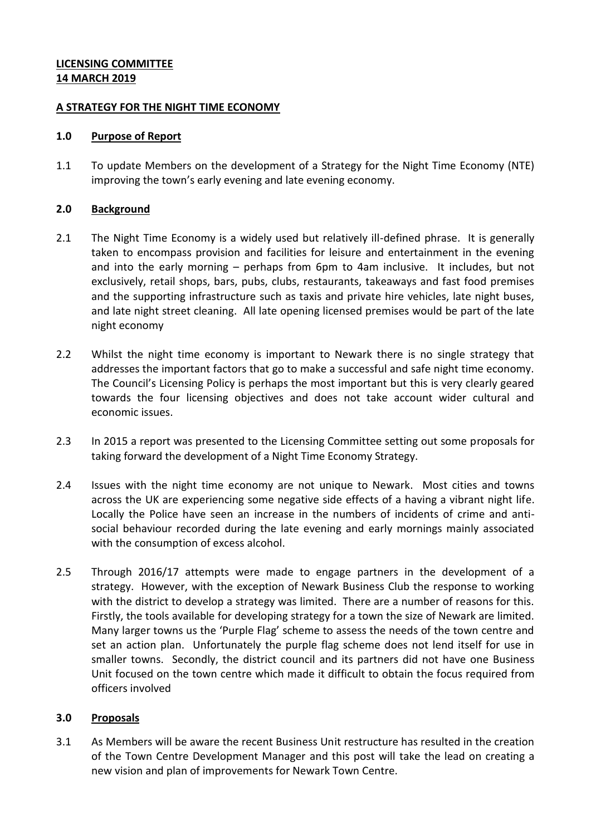## **LICENSING COMMITTEE 14 MARCH 2019**

### **A STRATEGY FOR THE NIGHT TIME ECONOMY**

### **1.0 Purpose of Report**

1.1 To update Members on the development of a Strategy for the Night Time Economy (NTE) improving the town's early evening and late evening economy.

# **2.0 Background**

- 2.1 The Night Time Economy is a widely used but relatively ill-defined phrase. It is generally taken to encompass provision and facilities for leisure and entertainment in the evening and into the early morning – perhaps from 6pm to 4am inclusive. It includes, but not exclusively, retail shops, bars, pubs, clubs, restaurants, takeaways and fast food premises and the supporting infrastructure such as taxis and private hire vehicles, late night buses, and late night street cleaning. All late opening licensed premises would be part of the late night economy
- 2.2 Whilst the night time economy is important to Newark there is no single strategy that addresses the important factors that go to make a successful and safe night time economy. The Council's Licensing Policy is perhaps the most important but this is very clearly geared towards the four licensing objectives and does not take account wider cultural and economic issues.
- 2.3 In 2015 a report was presented to the Licensing Committee setting out some proposals for taking forward the development of a Night Time Economy Strategy.
- 2.4 Issues with the night time economy are not unique to Newark. Most cities and towns across the UK are experiencing some negative side effects of a having a vibrant night life. Locally the Police have seen an increase in the numbers of incidents of crime and antisocial behaviour recorded during the late evening and early mornings mainly associated with the consumption of excess alcohol.
- 2.5 Through 2016/17 attempts were made to engage partners in the development of a strategy. However, with the exception of Newark Business Club the response to working with the district to develop a strategy was limited. There are a number of reasons for this. Firstly, the tools available for developing strategy for a town the size of Newark are limited. Many larger towns us the 'Purple Flag' scheme to assess the needs of the town centre and set an action plan. Unfortunately the purple flag scheme does not lend itself for use in smaller towns. Secondly, the district council and its partners did not have one Business Unit focused on the town centre which made it difficult to obtain the focus required from officers involved

# **3.0 Proposals**

3.1 As Members will be aware the recent Business Unit restructure has resulted in the creation of the Town Centre Development Manager and this post will take the lead on creating a new vision and plan of improvements for Newark Town Centre.